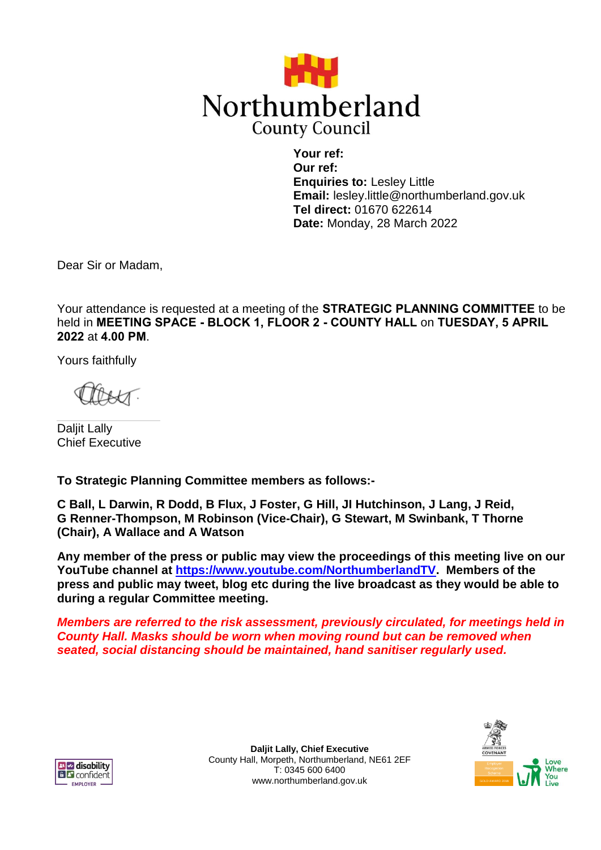

**Your ref: Our ref: Enquiries to:** Lesley Little **Email:** lesley.little@northumberland.gov.uk **Tel direct:** 01670 622614 **Date:** Monday, 28 March 2022

Dear Sir or Madam,

Your attendance is requested at a meeting of the **STRATEGIC PLANNING COMMITTEE** to be held in **MEETING SPACE - BLOCK 1, FLOOR 2 - COUNTY HALL** on **TUESDAY, 5 APRIL 2022** at **4.00 PM**.

Yours faithfully

Daljit Lally Chief Executive

**To Strategic Planning Committee members as follows:-**

**C Ball, L Darwin, R Dodd, B Flux, J Foster, G Hill, JI Hutchinson, J Lang, J Reid, G Renner-Thompson, M Robinson (Vice-Chair), G Stewart, M Swinbank, T Thorne (Chair), A Wallace and A Watson**

**Any member of the press or public may view the proceedings of this meeting live on our YouTube channel at [https://www.youtube.com/NorthumberlandTV.](https://www.youtube.com/NorthumberlandTV) Members of the press and public may tweet, blog etc during the live broadcast as they would be able to during a regular Committee meeting.**

*Members are referred to the risk assessment, previously circulated, for meetings held in County Hall. Masks should be worn when moving round but can be removed when seated, social distancing should be maintained, hand sanitiser regularly used.*



**Daljit Lally, Chief Executive** County Hall, Morpeth, Northumberland, NE61 2EF T: 0345 600 6400 www.northumberland.gov.uk

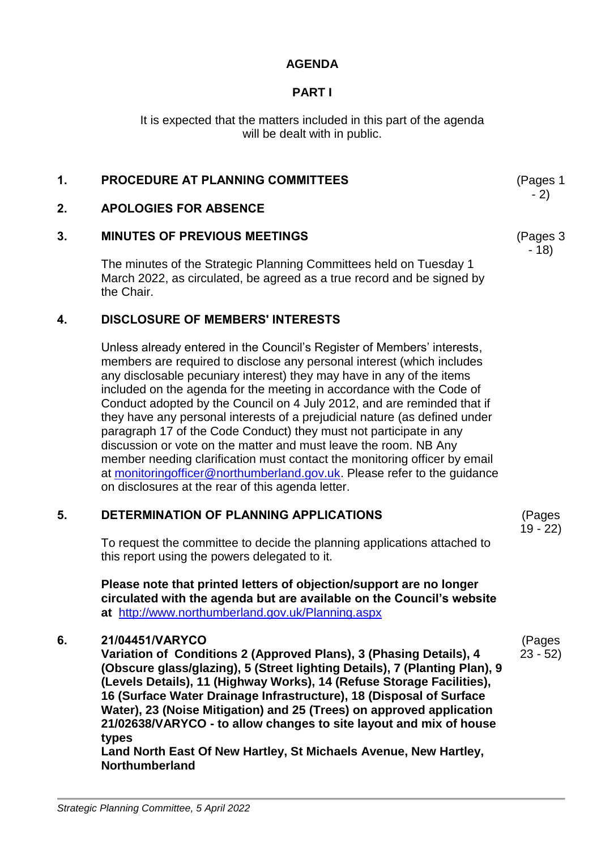# **AGENDA**

# **PART I**

It is expected that the matters included in this part of the agenda will be dealt with in public.

# **1. PROCEDURE AT PLANNING COMMITTEES** (Pages 1

### **2. APOLOGIES FOR ABSENCE**

## **3. MINUTES OF PREVIOUS MEETINGS**

The minutes of the Strategic Planning Committees held on Tuesday 1 March 2022, as circulated, be agreed as a true record and be signed by the Chair.

## **4. DISCLOSURE OF MEMBERS' INTERESTS**

Unless already entered in the Council's Register of Members' interests, members are required to disclose any personal interest (which includes any disclosable pecuniary interest) they may have in any of the items included on the agenda for the meeting in accordance with the Code of Conduct adopted by the Council on 4 July 2012, and are reminded that if they have any personal interests of a prejudicial nature (as defined under paragraph 17 of the Code Conduct) they must not participate in any discussion or vote on the matter and must leave the room. NB Any member needing clarification must contact the monitoring officer by email at [monitoringofficer@northumberland.gov.uk.](mailto:monitoringofficer@northumberland.gov.uk) Please refer to the guidance on disclosures at the rear of this agenda letter.

#### **5. DETERMINATION OF PLANNING APPLICATIONS**

To request the committee to decide the planning applications attached to this report using the powers delegated to it.

**Please note that printed letters of objection/support are no longer circulated with the agenda but are available on the Council's website at** <http://www.northumberland.gov.uk/Planning.aspx>

#### **6. 21/04451/VARYCO**

**Variation of Conditions 2 (Approved Plans), 3 (Phasing Details), 4 (Obscure glass/glazing), 5 (Street lighting Details), 7 (Planting Plan), 9 (Levels Details), 11 (Highway Works), 14 (Refuse Storage Facilities), 16 (Surface Water Drainage Infrastructure), 18 (Disposal of Surface Water), 23 (Noise Mitigation) and 25 (Trees) on approved application 21/02638/VARYCO - to allow changes to site layout and mix of house types**

**Land North East Of New Hartley, St Michaels Avenue, New Hartley, Northumberland**

(Pages 19 - 22)

(Pages 23 - 52)

- 2)

(Pages 3 - 18)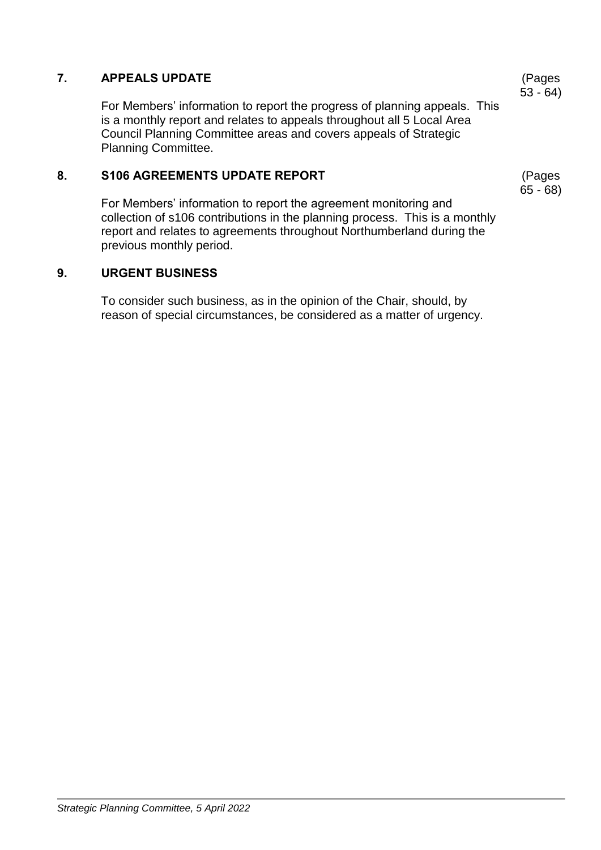# **7. APPEALS UPDATE**

For Members' information to report the progress of planning appeals. This is a monthly report and relates to appeals throughout all 5 Local Area Council Planning Committee areas and covers appeals of Strategic Planning Committee.

# **8. S106 AGREEMENTS UPDATE REPORT**

For Members' information to report the agreement monitoring and collection of s106 contributions in the planning process. This is a monthly report and relates to agreements throughout Northumberland during the previous monthly period.

#### **9. URGENT BUSINESS**

To consider such business, as in the opinion of the Chair, should, by reason of special circumstances, be considered as a matter of urgency.

(Pages 53 - 64)

(Pages 65 - 68)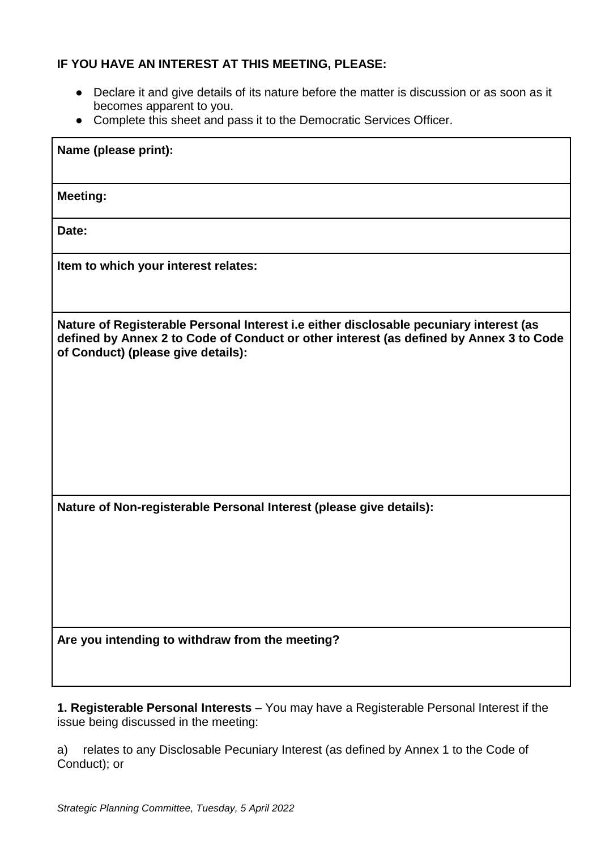# **IF YOU HAVE AN INTEREST AT THIS MEETING, PLEASE:**

- Declare it and give details of its nature before the matter is discussion or as soon as it becomes apparent to you.
- Complete this sheet and pass it to the Democratic Services Officer.

| Name (please print):                                                                                                                                                                                                   |
|------------------------------------------------------------------------------------------------------------------------------------------------------------------------------------------------------------------------|
| <b>Meeting:</b>                                                                                                                                                                                                        |
| Date:                                                                                                                                                                                                                  |
| Item to which your interest relates:                                                                                                                                                                                   |
| Nature of Registerable Personal Interest i.e either disclosable pecuniary interest (as<br>defined by Annex 2 to Code of Conduct or other interest (as defined by Annex 3 to Code<br>of Conduct) (please give details): |
| Nature of Non-registerable Personal Interest (please give details):                                                                                                                                                    |
| Are you intending to withdraw from the meeting?                                                                                                                                                                        |

**1. Registerable Personal Interests** – You may have a Registerable Personal Interest if the issue being discussed in the meeting:

a) relates to any Disclosable Pecuniary Interest (as defined by Annex 1 to the Code of Conduct); or